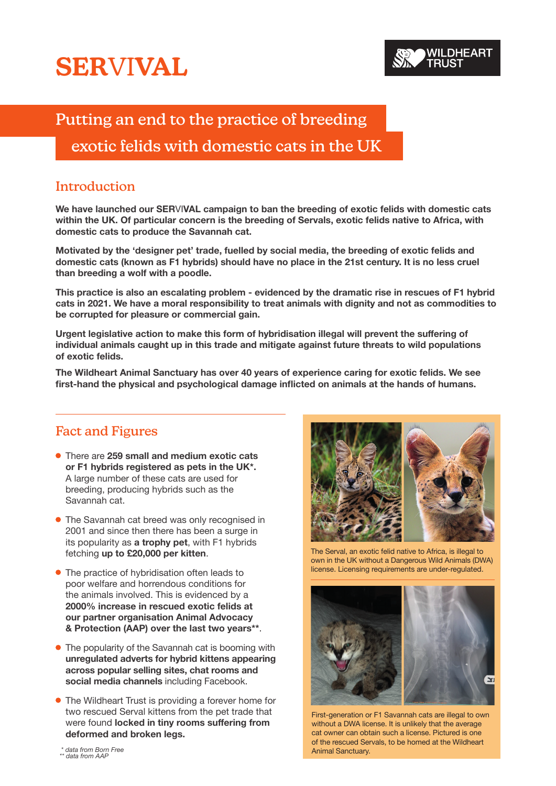# **SER**VI**VAL**

## Putting an end to the practice of breeding

### exotic felids with domestic cats in the UK

#### Introduction

**We have launched our SER**VI**VAL campaign to ban the breeding of exotic felids with domestic cats within the UK. Of particular concern is the breeding of Servals, exotic felids native to Africa, with domestic cats to produce the Savannah cat.** 

**Motivated by the 'designer pet' trade, fuelled by social media, the breeding of exotic felids and domestic cats (known as F1 hybrids) should have no place in the 21st century. It is no less cruel than breeding a wolf with a poodle.** 

**This practice is also an escalating problem - evidenced by the dramatic rise in rescues of F1 hybrid cats in 2021. We have a moral responsibility to treat animals with dignity and not as commodities to be corrupted for pleasure or commercial gain.**

**Urgent legislative action to make this form of hybridisation illegal will prevent the suffering of individual animals caught up in this trade and mitigate against future threats to wild populations of exotic felids.** 

**The Wildheart Animal Sanctuary has over 40 years of experience caring for exotic felids. We see first-hand the physical and psychological damage inflicted on animals at the hands of humans.**

#### Fact and Figures

- There are **259 small and medium exotic cats or F1 hybrids registered as pets in the UK\*.** A large number of these cats are used for breeding, producing hybrids such as the Savannah cat.
- The Savannah cat breed was only recognised in 2001 and since then there has been a surge in its popularity as **a trophy pet**, with F1 hybrids fetching **up to £20,000 per kitten**.
- The practice of hybridisation often leads to poor welfare and horrendous conditions for the animals involved. This is evidenced by a **2000% increase in rescued exotic felids at our partner organisation Animal Advocacy & Protection (AAP) over the last two years\*\***.
- **•** The popularity of the Savannah cat is booming with **unregulated adverts for hybrid kittens appearing across popular selling sites, chat rooms and social media channels** including Facebook.
- The Wildheart Trust is providing a forever home for two rescued Serval kittens from the pet trade that were found **locked in tiny rooms suffering from deformed and broken legs.**



The Serval, an exotic felid native to Africa, is illegal to own in the UK without a Dangerous Wild Animals (DWA) license. Licensing requirements are under-regulated.



First-generation or F1 Savannah cats are illegal to own without a DWA license. It is unlikely that the average cat owner can obtain such a license. Pictured is one of the rescued Servals, to be homed at the Wildheart Animal Sanctuary.

\* *data from Born Free \*\* data from AAP*